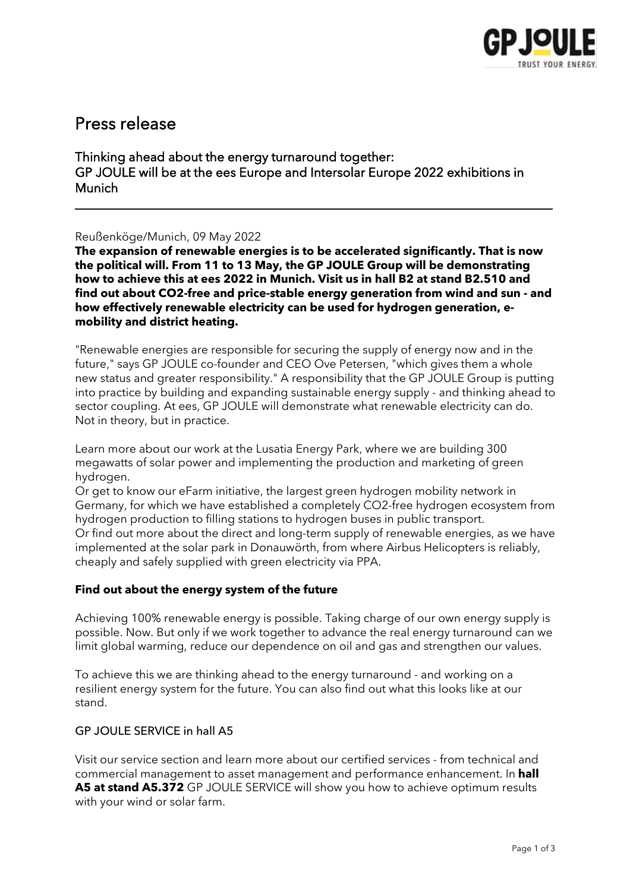

# Press release

Thinking ahead about the energy turnaround together: GP JOULE will be at the ees Europe and Intersolar Europe 2022 exhibitions in Munich

### Reußenköge/Munich, 09 May 2022

**The expansion of renewable energies is to be accelerated significantly. That is now the political will. From 11 to 13 May, the GP JOULE Group will be demonstrating how to achieve this at ees 2022 in Munich. Visit us in hall B2 at stand B2.510 and find out about CO2-free and price-stable energy generation from wind and sun - and how effectively renewable electricity can be used for hydrogen generation, emobility and district heating.** 

\_\_\_\_\_\_\_\_\_\_\_\_\_\_\_\_\_\_\_\_\_\_\_\_\_\_\_\_\_\_\_\_\_\_\_\_\_\_\_\_\_\_\_\_\_\_\_\_\_\_\_\_\_\_\_\_\_\_\_\_\_\_\_\_\_\_\_\_\_\_\_\_\_\_\_

"Renewable energies are responsible for securing the supply of energy now and in the future," says GP JOULE co-founder and CEO Ove Petersen, "which gives them a whole new status and greater responsibility." A responsibility that the GP JOULE Group is putting into practice by building and expanding sustainable energy supply - and thinking ahead to sector coupling. At ees, GP JOULE will demonstrate what renewable electricity can do. Not in theory, but in practice.

Learn more about our work at the Lusatia Energy Park, where we are building 300 megawatts of solar power and implementing the production and marketing of green hydrogen.

Or get to know our eFarm initiative, the largest green hydrogen mobility network in Germany, for which we have established a completely CO2-free hydrogen ecosystem from hydrogen production to filling stations to hydrogen buses in public transport. Or find out more about the direct and long-term supply of renewable energies, as we have implemented at the solar park in Donauwörth, from where Airbus Helicopters is reliably, cheaply and safely supplied with green electricity via PPA.

### **Find out about the energy system of the future**

Achieving 100% renewable energy is possible. Taking charge of our own energy supply is possible. Now. But only if we work together to advance the real energy turnaround can we limit global warming, reduce our dependence on oil and gas and strengthen our values.

To achieve this we are thinking ahead to the energy turnaround - and working on a resilient energy system for the future. You can also find out what this looks like at our stand.

### GP JOULE SERVICE in hall A5

Visit our service section and learn more about our certified services - from technical and commercial management to asset management and performance enhancement. In **hall A5 at stand A5.372** GP JOULE SERVICE will show you how to achieve optimum results with your wind or solar farm.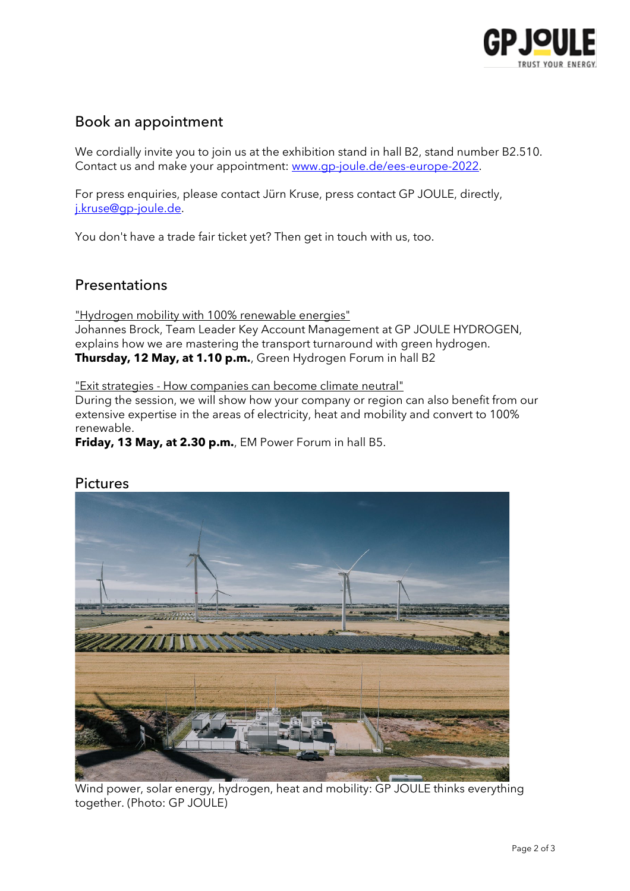

## Book an appointment

We cordially invite you to join us at the exhibition stand in hall B2, stand number B2.510. Contact us and make your appointment: [www.gp-joule.de/ees-europe-2022.](https://www.gp-joule.de/ees-europe-2022)

For press enquiries, please contact Jürn Kruse, press contact GP JOULE, directly, [j.kruse@gp-joule.de.](mailto:j.kruse@gp-joule.de)

You don't have a trade fair ticket yet? Then get in touch with us, too.

## Presentations

"Hydrogen mobility with 100% renewable energies" Johannes Brock, Team Leader Key Account Management at GP JOULE HYDROGEN, explains how we are mastering the transport turnaround with green hydrogen. **Thursday, 12 May, at 1.10 p.m.**, Green Hydrogen Forum in hall B2

"Exit strategies - How companies can become climate neutral"

During the session, we will show how your company or region can also benefit from our extensive expertise in the areas of electricity, heat and mobility and convert to 100% renewable.

**Friday, 13 May, at 2.30 p.m.**, EM Power Forum in hall B5.



### Pictures

 Wind power, solar energy, hydrogen, heat and mobility: GP JOULE thinks everything together. (Photo: GP JOULE)